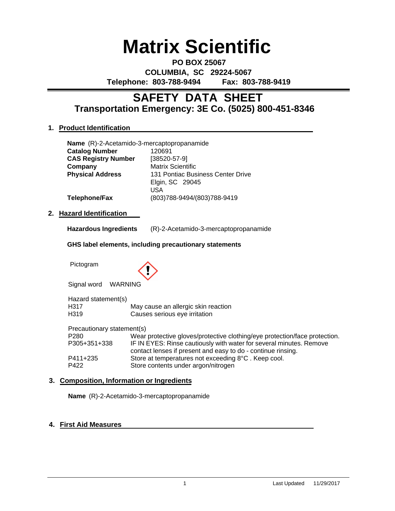# **Matrix Scientific**

**PO BOX 25067 COLUMBIA, SC 29224-5067 Telephone: 803-788-9494 Fax: 803-788-9419**

### **Transportation Emergency: 3E Co. (5025) 800-451-8346 SAFETY DATA SHEET**

#### **1. Product Identification**

| Name (R)-2-Acetamido-3-mercaptopropanamide |                                                             |  |
|--------------------------------------------|-------------------------------------------------------------|--|
| <b>Catalog Number</b>                      | 120691                                                      |  |
| <b>CAS Registry Number</b>                 | $[38520 - 57 - 9]$                                          |  |
| Company                                    | <b>Matrix Scientific</b>                                    |  |
| <b>Physical Address</b>                    | 131 Pontiac Business Center Drive<br>Elgin, SC 29045<br>USA |  |
| Telephone/Fax                              | (803)788-9494/(803)788-9419                                 |  |

#### **2. Hazard Identification**

| (R)-2-Acetamido-3-mercaptopropanamide<br><b>Hazardous Ingredients</b> |
|-----------------------------------------------------------------------|
|-----------------------------------------------------------------------|

#### **GHS label elements, including precautionary statements**

Pictogram



Signal word WARNING

| Hazard statement(s) |                                                       |
|---------------------|-------------------------------------------------------|
| H317                | May cause an allergic skin reaction                   |
| H319                | Causes serious eye irritation                         |
|                     | Precautionary statement(s)                            |
| P <sub>280</sub>    | Wear protective gloves/protective clothing/eve proted |

| P <sub>280</sub> | Wear protective gloves/protective clothing/eye protection/face protection. |
|------------------|----------------------------------------------------------------------------|
| P305+351+338     | IF IN EYES: Rinse cautiously with water for several minutes. Remove        |
|                  | contact lenses if present and easy to do - continue rinsing.               |
| P411+235         | Store at temperatures not exceeding 8°C. Keep cool.                        |
| P422             | Store contents under argon/nitrogen                                        |

#### **3. Composition, Information or Ingredients**

**Name** (R)-2-Acetamido-3-mercaptopropanamide

#### **4. First Aid Measures**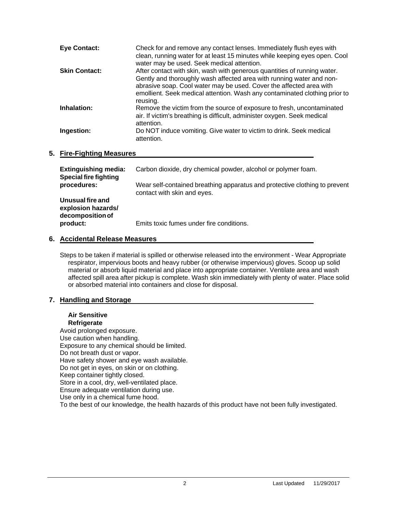| <b>Eye Contact:</b>  | Check for and remove any contact lenses. Immediately flush eyes with<br>clean, running water for at least 15 minutes while keeping eyes open. Cool<br>water may be used. Seek medical attention.                                                                                                                  |
|----------------------|-------------------------------------------------------------------------------------------------------------------------------------------------------------------------------------------------------------------------------------------------------------------------------------------------------------------|
| <b>Skin Contact:</b> | After contact with skin, wash with generous quantities of running water.<br>Gently and thoroughly wash affected area with running water and non-<br>abrasive soap. Cool water may be used. Cover the affected area with<br>emollient. Seek medical attention. Wash any contaminated clothing prior to<br>reusing. |
| Inhalation:          | Remove the victim from the source of exposure to fresh, uncontaminated<br>air. If victim's breathing is difficult, administer oxygen. Seek medical<br>attention.                                                                                                                                                  |
| Ingestion:           | Do NOT induce vomiting. Give water to victim to drink. Seek medical<br>attention.                                                                                                                                                                                                                                 |

#### **5. Fire-Fighting Measures**

| <b>Extinguishing media:</b><br><b>Special fire fighting</b> | Carbon dioxide, dry chemical powder, alcohol or polymer foam.                                             |
|-------------------------------------------------------------|-----------------------------------------------------------------------------------------------------------|
| procedures:                                                 | Wear self-contained breathing apparatus and protective clothing to prevent<br>contact with skin and eyes. |
| Unusual fire and<br>explosion hazards/<br>decomposition of  |                                                                                                           |
| product:                                                    | Emits toxic fumes under fire conditions.                                                                  |

#### **6. Accidental Release Measures**

Steps to be taken if material is spilled or otherwise released into the environment - Wear Appropriate respirator, impervious boots and heavy rubber (or otherwise impervious) gloves. Scoop up solid material or absorb liquid material and place into appropriate container. Ventilate area and wash affected spill area after pickup is complete. Wash skin immediately with plenty of water. Place solid or absorbed material into containers and close for disposal.

#### **7. Handling and Storage**

#### **Air Sensitive Refrigerate**

Avoid prolonged exposure. Use caution when handling. Exposure to any chemical should be limited. Do not breath dust or vapor. Have safety shower and eye wash available. Do not get in eyes, on skin or on clothing. Keep container tightly closed. Store in a cool, dry, well-ventilated place. Ensure adequate ventilation during use. Use only in a chemical fume hood. To the best of our knowledge, the health hazards of this product have not been fully investigated.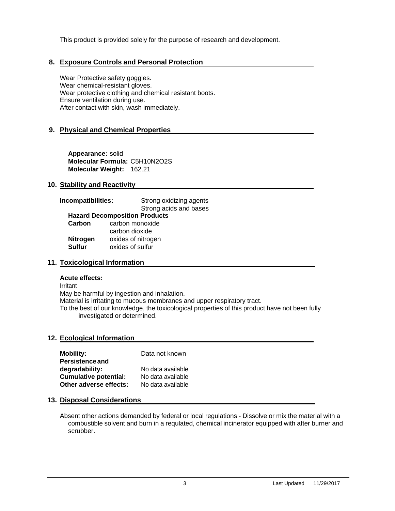This product is provided solely for the purpose of research and development.

#### **8. Exposure Controls and Personal Protection**

Wear Protective safety goggles. Wear chemical-resistant gloves. Wear protective clothing and chemical resistant boots. Ensure ventilation during use. After contact with skin, wash immediately.

#### **9. Physical and Chemical Properties**

**Appearance:** solid **Molecular Formula:** C5H10N2O2S **Molecular Weight:** 162.21

#### **10. Stability and Reactivity**

## **Incompatibilities:** Strong oxidizing agents

Strong acids and bases **Hazard Decomposition Products**

**Carbon** carbon monoxide carbon dioxide **Nitrogen** oxides of nitrogen<br>**Sulfur** oxides of sulfur oxides of sulfur

#### **11. Toxicological Information**

#### **Acute effects:**

Irritant May be harmful by ingestion and inhalation. Material is irritating to mucous membranes and upper respiratory tract. To the best of our knowledge, the toxicological properties of this product have not been fully investigated or determined.

#### **12. Ecological Information**

| <b>Mobility:</b><br><b>Persistence and</b> | Data not known    |
|--------------------------------------------|-------------------|
| degradability:                             | No data available |
| <b>Cumulative potential:</b>               | No data available |
| Other adverse effects:                     | No data available |

#### **13. Disposal Considerations**

Absent other actions demanded by federal or local regulations - Dissolve or mix the material with a combustible solvent and burn in a requlated, chemical incinerator equipped with after burner and scrubber.